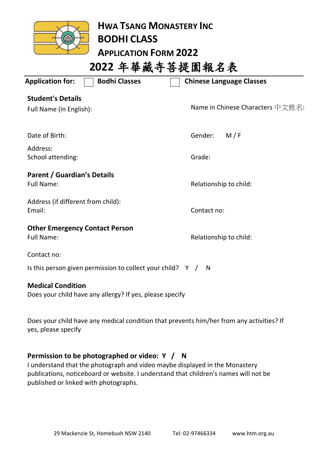

**HWA TSANG MONASTERY INC BODHI CLASS APPLICATION FORM 2022 2022** 年華藏寺菩提園報名表

| <b>Bodhi Classes</b><br><b>Application for:</b>                                      | <b>Chinese Language Classes</b>  |
|--------------------------------------------------------------------------------------|----------------------------------|
| <b>Student's Details</b><br>Full Name (in English):                                  | Name in Chinese Characters 中文姓名: |
| Date of Birth:                                                                       | Gender:<br>M/F                   |
| Address:<br>School attending:                                                        | Grade:                           |
| <b>Parent / Guardian's Details</b><br><b>Full Name:</b>                              | Relationship to child:           |
| Address (if different from child):<br>Email:                                         | Contact no:                      |
| <b>Other Emergency Contact Person</b><br><b>Full Name:</b>                           | Relationship to child:           |
| Contact no:                                                                          |                                  |
| Is this person given permission to collect your child? $Y / W$                       |                                  |
| <b>Medical Condition</b><br>Does your child have any allergy? If yes, please specify |                                  |

Does your child have any medical condition that prevents him/her from any activities? If yes, please specify

### **Permission to be photographed or video: Y / N**

I understand that the photograph and video maybe displayed in the Monastery publications, noticeboard or website. I understand that children's names will not be published or linked with photographs.